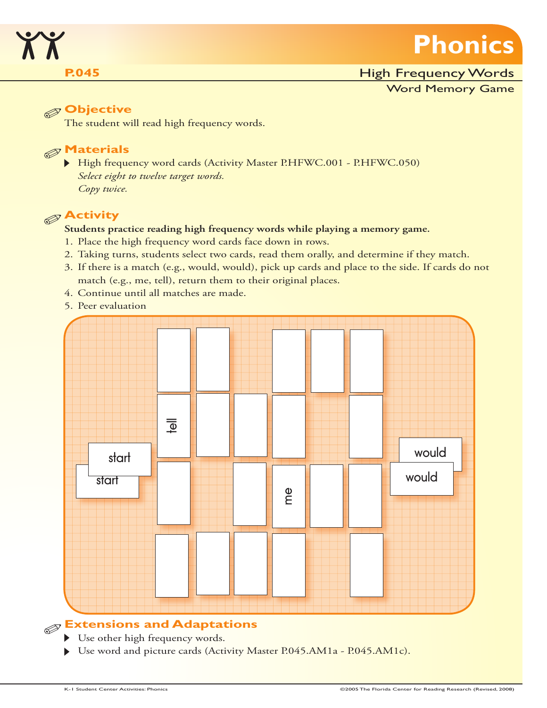

## **P.045 P.045 High Frequency Words**

### Word Memory Game

# **Objective**

The student will read high frequency words.

# **Materials**

High frequency word cards (Activity Master P.HFWC.001 - P.HFWC.050) *Select eight to twelve target words. Copy twice.*

# **Activity**

## **Students practice reading high frequency words while playing a memory game.**

- 1. Place the high frequency word cards face down in rows.
- 2. Taking turns, students select two cards, read them orally, and determine if they match.
- 3. If there is a match (e.g., would, would), pick up cards and place to the side. If cards do not match (e.g., me, tell), return them to their original places.
- 4. Continue until all matches are made.
- 5. Peer evaluation



# **Extensions and Adaptations**

- Use other high frequency words.
- ▶ Use word and picture cards (Activity Master P.045.AM1a P.045.AM1c).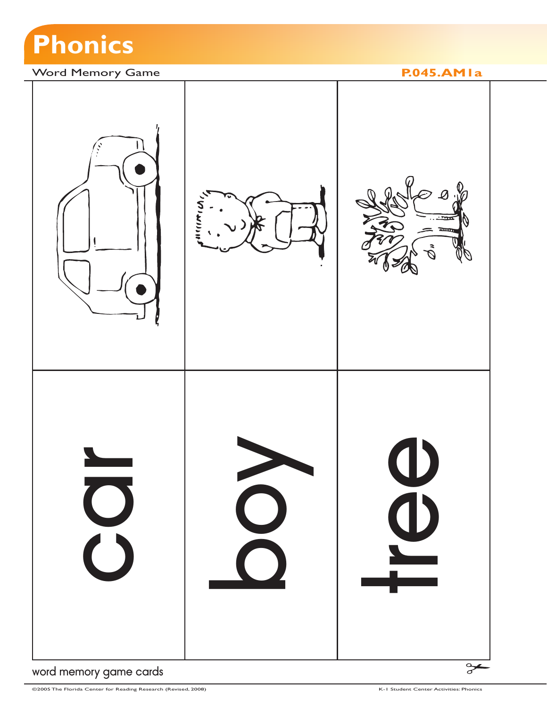

## Word Memory Game **P.045.AM1a**



word memory game cards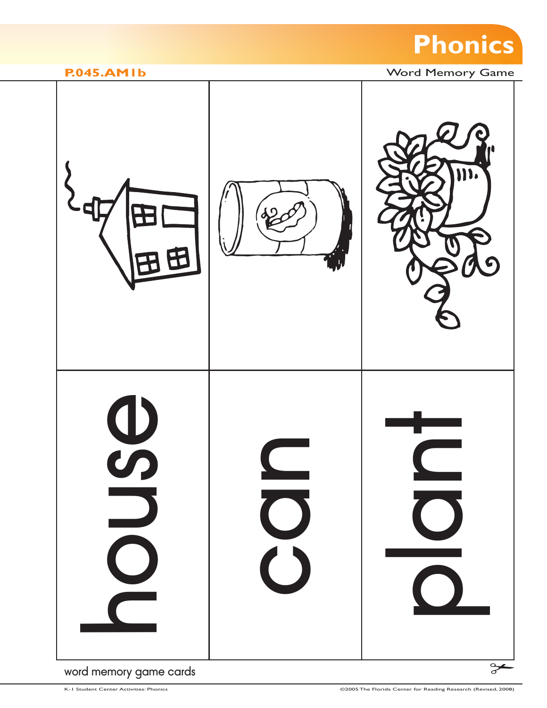



## word memory game cards